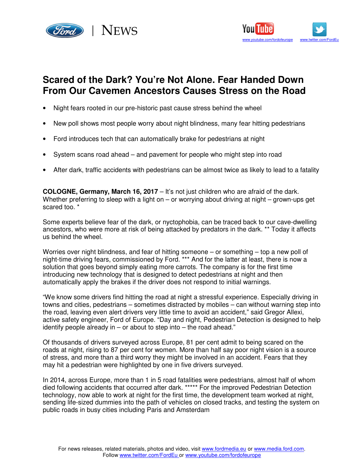



# **Scared of the Dark? You're Not Alone. Fear Handed Down From Our Cavemen Ancestors Causes Stress on the Road**

- Night fears rooted in our pre-historic past cause stress behind the wheel
- New poll shows most people worry about night blindness, many fear hitting pedestrians
- Ford introduces tech that can automatically brake for pedestrians at night
- System scans road ahead and pavement for people who might step into road
- After dark, traffic accidents with pedestrians can be almost twice as likely to lead to a fatality

**COLOGNE, Germany, March 16, 2017** – It's not just children who are afraid of the dark. Whether preferring to sleep with a light on – or worrying about driving at night – grown-ups get scared too. \*

Some experts believe fear of the dark, or nyctophobia, can be traced back to our cave-dwelling ancestors, who were more at risk of being attacked by predators in the dark. \*\* Today it affects us behind the wheel.

Worries over night blindness, and fear of hitting someone – or something – top a new poll of night-time driving fears, commissioned by Ford. \*\*\* And for the latter at least, there is now a solution that goes beyond simply eating more carrots. The company is for the first time introducing new technology that is designed to detect pedestrians at night and then automatically apply the brakes if the driver does not respond to initial warnings.

"We know some drivers find hitting the road at night a stressful experience. Especially driving in towns and cities, pedestrians – sometimes distracted by mobiles – can without warning step into the road, leaving even alert drivers very little time to avoid an accident," said Gregor Allexi, active safety engineer, Ford of Europe. "Day and night, Pedestrian Detection is designed to help identify people already in – or about to step into – the road ahead."

Of thousands of drivers surveyed across Europe, 81 per cent admit to being scared on the roads at night, rising to 87 per cent for women. More than half say poor night vision is a source of stress, and more than a third worry they might be involved in an accident. Fears that they may hit a pedestrian were highlighted by one in five drivers surveyed.

In 2014, across Europe, more than 1 in 5 road fatalities were pedestrians, almost half of whom died following accidents that occurred after dark. \*\*\*\*\* For the improved Pedestrian Detection technology, now able to work at night for the first time, the development team worked at night, sending life-sized dummies into the path of vehicles on closed tracks, and testing the system on public roads in busy cities including Paris and Amsterdam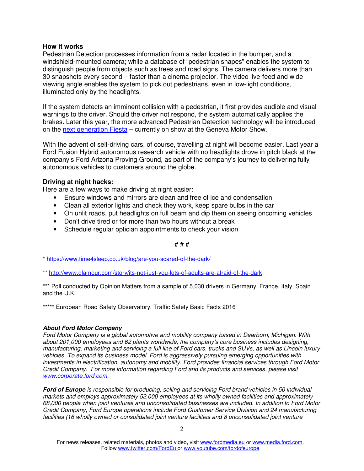### **How it works**

Pedestrian Detection processes information from a radar located in the bumper, and a windshield-mounted camera; while a database of "pedestrian shapes" enables the system to distinguish people from objects such as trees and road signs. The camera delivers more than 30 snapshots every second – faster than a cinema projector. The video live-feed and wide viewing angle enables the system to pick out pedestrians, even in low-light conditions, illuminated only by the headlights.

If the system detects an imminent collision with a pedestrian, it first provides audible and visual warnings to the driver. Should the driver not respond, the system automatically applies the brakes. Later this year, the more advanced Pedestrian Detection technology will be introduced on the next generation Fiesta – currently on show at the Geneva Motor Show.

With the advent of self-driving cars, of course, travelling at night will become easier. Last year a Ford Fusion Hybrid autonomous research vehicle with no headlights drove in pitch black at the company's Ford Arizona Proving Ground, as part of the company's journey to delivering fully autonomous vehicles to customers around the globe.

## **Driving at night hacks:**

Here are a few ways to make driving at night easier:

- Ensure windows and mirrors are clean and free of ice and condensation
- Clean all exterior lights and check they work, keep spare bulbs in the car
- On unlit roads, put headlights on full beam and dip them on seeing oncoming vehicles
- Don't drive tired or for more than two hours without a break
- Schedule regular optician appointments to check your vision

## # # #

\* https://www.time4sleep.co.uk/blog/are-you-scared-of-the-dark/

\*\* http://www.glamour.com/story/its-not-just-you-lots-of-adults-are-afraid-of-the-dark

\*\*\* Poll conducted by Opinion Matters from a sample of 5,030 drivers in Germany, France, Italy, Spain and the U.K.

\*\*\*\*\* European Road Safety Observatory. Traffic Safety Basic Facts 2016

## **About Ford Motor Company**

Ford Motor Company is a global automotive and mobility company based in Dearborn, Michigan. With about 201,000 employees and 62 plants worldwide, the company's core business includes designing, manufacturing, marketing and servicing a full line of Ford cars, trucks and SUVs, as well as Lincoln luxury vehicles. To expand its business model, Ford is aggressively pursuing emerging opportunities with investments in electrification, autonomy and mobility. Ford provides financial services through Ford Motor Credit Company. For more information regarding Ford and its products and services, please visit www.corporate.ford.com.

**Ford of Europe** is responsible for producing, selling and servicing Ford brand vehicles in 50 individual markets and employs approximately 52,000 employees at its wholly owned facilities and approximately 68,000 people when joint ventures and unconsolidated businesses are included. In addition to Ford Motor Credit Company, Ford Europe operations include Ford Customer Service Division and 24 manufacturing facilities (16 wholly owned or consolidated joint venture facilities and 8 unconsolidated joint venture